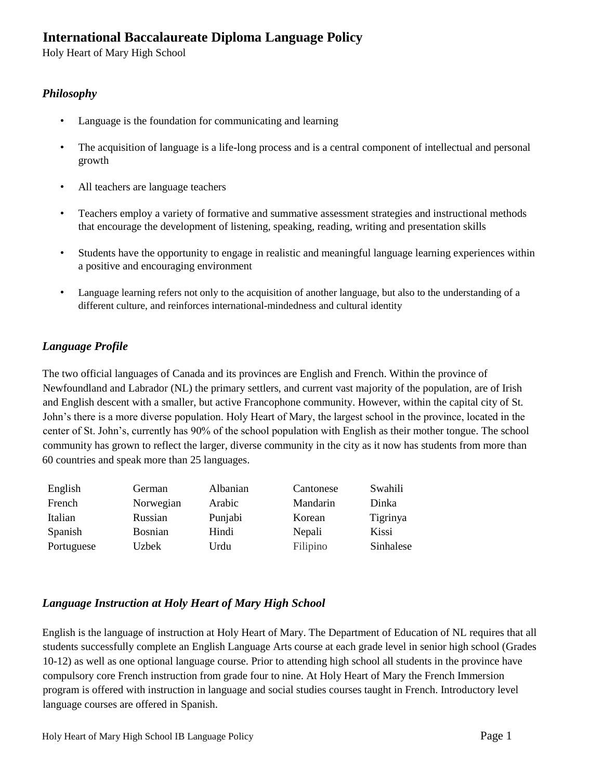# **International Baccalaureate Diploma Language Policy**

Holy Heart of Mary High School

## *Philosophy*

- Language is the foundation for communicating and learning
- The acquisition of language is a life-long process and is a central component of intellectual and personal growth
- All teachers are language teachers
- Teachers employ a variety of formative and summative assessment strategies and instructional methods that encourage the development of listening, speaking, reading, writing and presentation skills
- Students have the opportunity to engage in realistic and meaningful language learning experiences within a positive and encouraging environment
- Language learning refers not only to the acquisition of another language, but also to the understanding of a different culture, and reinforces international-mindedness and cultural identity

# *Language Profile*

The two official languages of Canada and its provinces are English and French. Within the province of Newfoundland and Labrador (NL) the primary settlers, and current vast majority of the population, are of Irish and English descent with a smaller, but active Francophone community. However, within the capital city of St. John's there is a more diverse population. Holy Heart of Mary, the largest school in the province, located in the center of St. John's, currently has 90% of the school population with English as their mother tongue. The school community has grown to reflect the larger, diverse community in the city as it now has students from more than 60 countries and speak more than 25 languages.

| English    | German         | Albanian | Cantonese | Swahili   |
|------------|----------------|----------|-----------|-----------|
| French     | Norwegian      | Arabic   | Mandarin  | Dinka     |
| Italian    | Russian        | Punjabi  | Korean    | Tigrinya  |
| Spanish    | <b>Bosnian</b> | Hindi    | Nepali    | Kissi     |
| Portuguese | Uzbek          | Urdu     | Filipino  | Sinhalese |

## *Language Instruction at Holy Heart of Mary High School*

English is the language of instruction at Holy Heart of Mary. The Department of Education of NL requires that all students successfully complete an English Language Arts course at each grade level in senior high school (Grades 10-12) as well as one optional language course. Prior to attending high school all students in the province have compulsory core French instruction from grade four to nine. At Holy Heart of Mary the French Immersion program is offered with instruction in language and social studies courses taught in French. Introductory level language courses are offered in Spanish.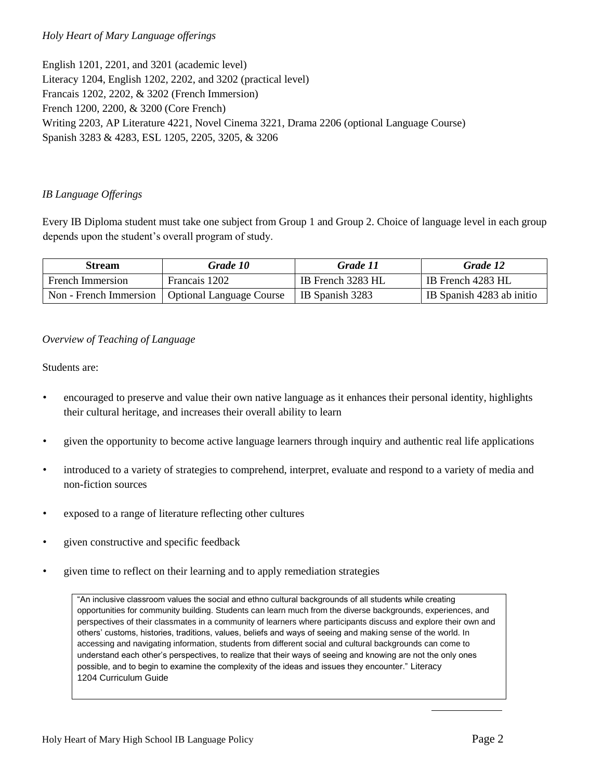## *Holy Heart of Mary Language offerings*

English 1201, 2201, and 3201 (academic level) Literacy 1204, English 1202, 2202, and 3202 (practical level) Francais 1202, 2202, & 3202 (French Immersion) French 1200, 2200, & 3200 (Core French) Writing 2203, AP Literature 4221, Novel Cinema 3221, Drama 2206 (optional Language Course) Spanish 3283 & 4283, ESL 1205, 2205, 3205, & 3206

#### *IB Language Offerings*

Every IB Diploma student must take one subject from Group 1 and Group 2. Choice of language level in each group depends upon the student's overall program of study.

| <b>Stream</b>           | Grade 10                        | Grade 11          | Grade 12                  |
|-------------------------|---------------------------------|-------------------|---------------------------|
| <b>French Immersion</b> | Francais 1202                   | IB French 3283 HL | IB French 4283 HL         |
| Non - French Immersion  | <b>Optional Language Course</b> | IB Spanish 3283   | IB Spanish 4283 ab initio |

#### *Overview of Teaching of Language*

Students are:

- encouraged to preserve and value their own native language as it enhances their personal identity, highlights their cultural heritage, and increases their overall ability to learn
- given the opportunity to become active language learners through inquiry and authentic real life applications
- introduced to a variety of strategies to comprehend, interpret, evaluate and respond to a variety of media and non-fiction sources
- exposed to a range of literature reflecting other cultures
- given constructive and specific feedback
- given time to reflect on their learning and to apply remediation strategies

"An inclusive classroom values the social and ethno cultural backgrounds of all students while creating opportunities for community building. Students can learn much from the diverse backgrounds, experiences, and perspectives of their classmates in a community of learners where participants discuss and explore their own and others' customs, histories, traditions, values, beliefs and ways of seeing and making sense of the world. In accessing and navigating information, students from different social and cultural backgrounds can come to understand each other's perspectives, to realize that their ways of seeing and knowing are not the only ones possible, and to begin to examine the complexity of the ideas and issues they encounter." Literacy 1204 Curriculum Guide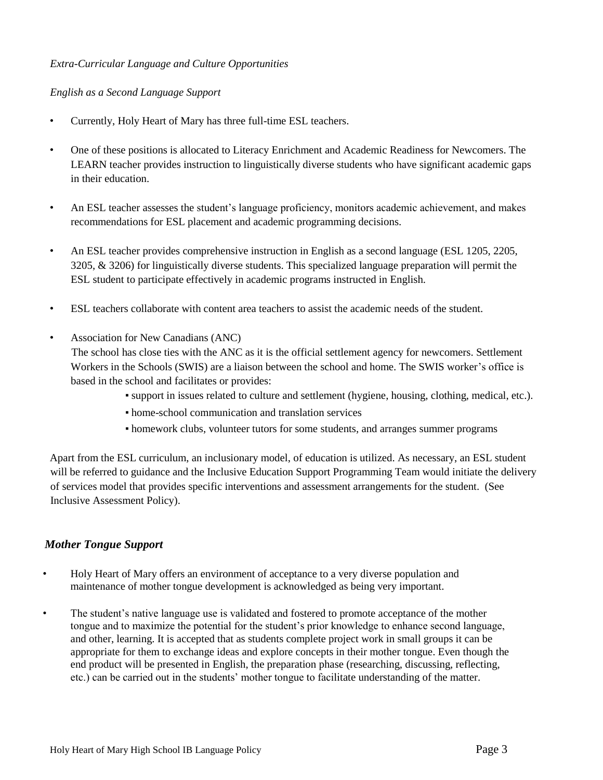### *Extra-Curricular Language and Culture Opportunities*

### *English as a Second Language Support*

- Currently, Holy Heart of Mary has three full-time ESL teachers.
- One of these positions is allocated to Literacy Enrichment and Academic Readiness for Newcomers. The LEARN teacher provides instruction to linguistically diverse students who have significant academic gaps in their education.
- An ESL teacher assesses the student's language proficiency, monitors academic achievement, and makes recommendations for ESL placement and academic programming decisions.
- An ESL teacher provides comprehensive instruction in English as a second language (ESL 1205, 2205, 3205, & 3206) for linguistically diverse students. This specialized language preparation will permit the ESL student to participate effectively in academic programs instructed in English.
- ESL teachers collaborate with content area teachers to assist the academic needs of the student.
- Association for New Canadians (ANC)
	- The school has close ties with the ANC as it is the official settlement agency for newcomers. Settlement Workers in the Schools (SWIS) are a liaison between the school and home. The SWIS worker's office is based in the school and facilitates or provides:
		- support in issues related to culture and settlement (hygiene, housing, clothing, medical, etc.).
		- home-school communication and translation services
		- homework clubs, volunteer tutors for some students, and arranges summer programs

Apart from the ESL curriculum, an inclusionary model, of education is utilized. As necessary, an ESL student will be referred to guidance and the Inclusive Education Support Programming Team would initiate the delivery of services model that provides specific interventions and assessment arrangements for the student. (See Inclusive Assessment Policy).

## *Mother Tongue Support*

- Holy Heart of Mary offers an environment of acceptance to a very diverse population and maintenance of mother tongue development is acknowledged as being very important.
- The student's native language use is validated and fostered to promote acceptance of the mother tongue and to maximize the potential for the student's prior knowledge to enhance second language, and other, learning. It is accepted that as students complete project work in small groups it can be appropriate for them to exchange ideas and explore concepts in their mother tongue. Even though the end product will be presented in English, the preparation phase (researching, discussing, reflecting, etc.) can be carried out in the students' mother tongue to facilitate understanding of the matter.